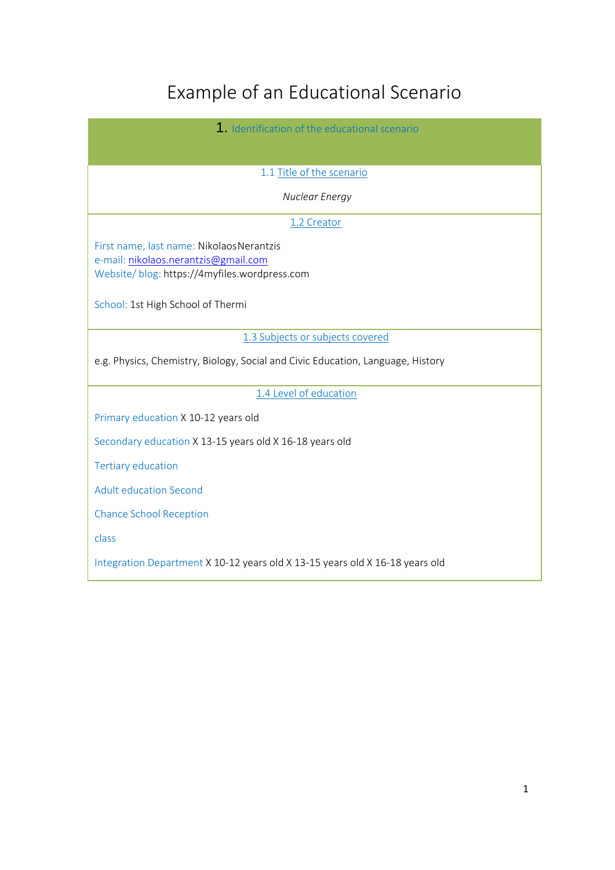# Example of an Educational Scenario

| 1. Identification of the educational scenario                                        |
|--------------------------------------------------------------------------------------|
|                                                                                      |
| 1.1 Title of the scenario                                                            |
| Nuclear Energy                                                                       |
| 1.2 Creator                                                                          |
| First name, last name: Nikolaos Nerantzis                                            |
| e-mail: nikolaos.nerantzis@gmail.com<br>Website/blog: https://4myfiles.wordpress.com |
|                                                                                      |
| School: 1st High School of Thermi                                                    |
| 1.3 Subjects or subjects covered                                                     |
|                                                                                      |
| e.g. Physics, Chemistry, Biology, Social and Civic Education, Language, History      |
| 1.4 Level of education                                                               |
| Primary education X 10-12 years old                                                  |
| Secondary education X 13-15 years old X 16-18 years old                              |
| <b>Tertiary education</b>                                                            |
| <b>Adult education Second</b>                                                        |
| <b>Chance School Reception</b>                                                       |
| class                                                                                |
| Integration Department X 10-12 years old X 13-15 years old X 16-18 years old         |

ı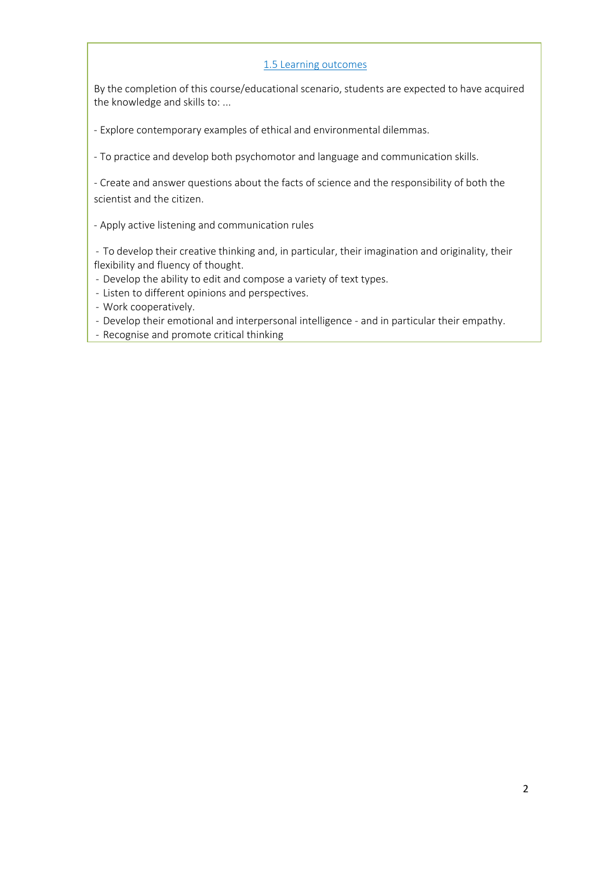#### 1.5 Learning outcomes

By the completion of this course/educational scenario, students are expected to have acquired the knowledge and skills to: ...

- Explore contemporary examples of ethical and environmental dilemmas.

- To practice and develop both psychomotor and language and communication skills.

- Create and answer questions about the facts of science and the responsibility of both the scientist and the citizen.

- Apply active listening and communication rules

- To develop their creative thinking and, in particular, their imagination and originality, their flexibility and fluency of thought.

- Develop the ability to edit and compose a variety of text types.

- Listen to different opinions and perspectives.

- Work cooperatively.

- Develop their emotional and interpersonal intelligence - and in particular their empathy.

- Recognise and promote critical thinking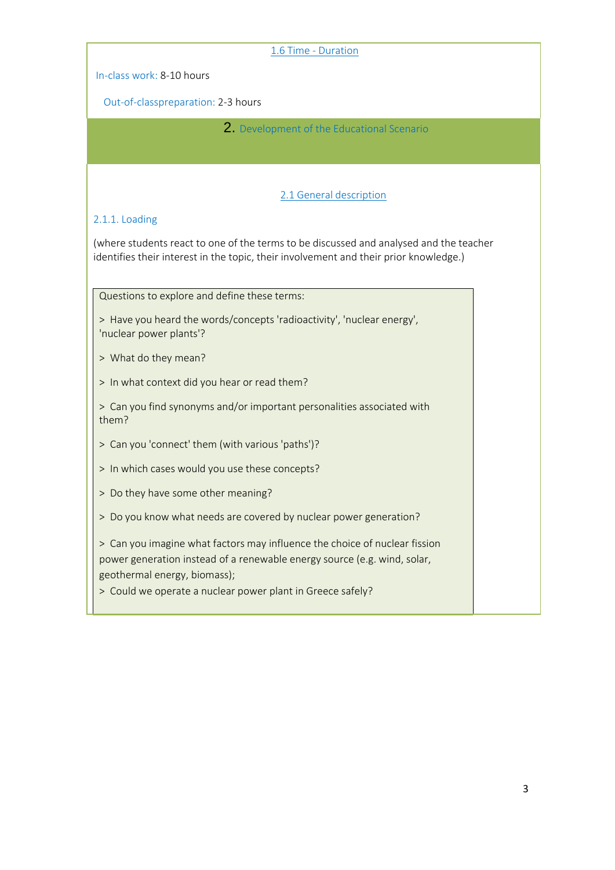| 1.6 Time - Duration                                                                                      |  |  |
|----------------------------------------------------------------------------------------------------------|--|--|
| In-class work: 8-10 hours                                                                                |  |  |
| Out-of-classpreparation: 2-3 hours                                                                       |  |  |
| 2. Development of the Educational Scenario                                                               |  |  |
|                                                                                                          |  |  |
|                                                                                                          |  |  |
| 2.1 General description                                                                                  |  |  |
| 2.1.1. Loading                                                                                           |  |  |
| (where students react to one of the terms to be discussed and analysed and the teacher                   |  |  |
| identifies their interest in the topic, their involvement and their prior knowledge.)                    |  |  |
| Questions to explore and define these terms:                                                             |  |  |
| > Have you heard the words/concepts 'radioactivity', 'nuclear energy',                                   |  |  |
| 'nuclear power plants'?                                                                                  |  |  |
| > What do they mean?                                                                                     |  |  |
| > In what context did you hear or read them?                                                             |  |  |
| > Can you find synonyms and/or important personalities associated with                                   |  |  |
| them?                                                                                                    |  |  |
| > Can you 'connect' them (with various 'paths')?                                                         |  |  |
| > In which cases would you use these concepts?                                                           |  |  |
| > Do they have some other meaning?                                                                       |  |  |
| > Do you know what needs are covered by nuclear power generation?                                        |  |  |
| > Can you imagine what factors may influence the choice of nuclear fission                               |  |  |
| power generation instead of a renewable energy source (e.g. wind, solar,<br>geothermal energy, biomass); |  |  |
| > Could we operate a nuclear power plant in Greece safely?                                               |  |  |
|                                                                                                          |  |  |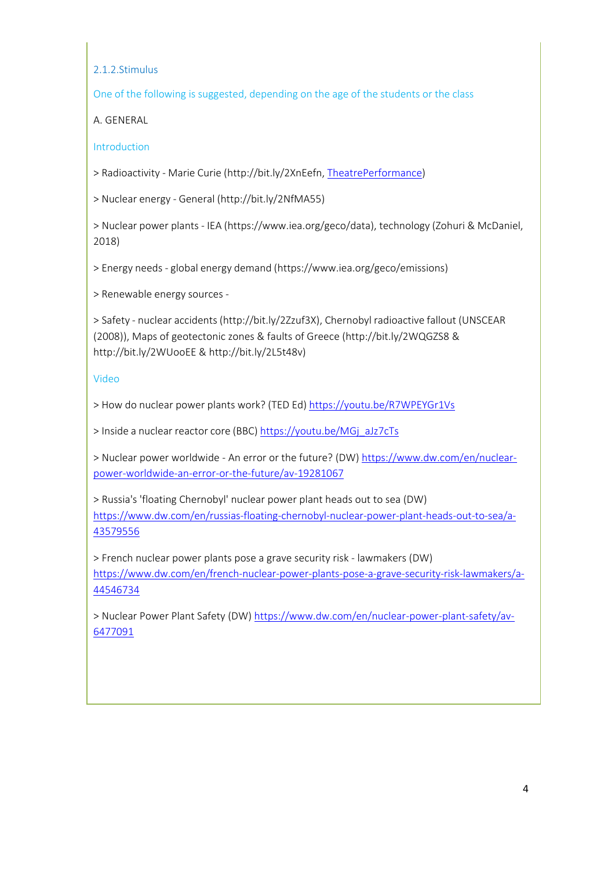2.1.2.Stimulus

One of the following is suggested, depending on the age of the students or the class

A. GENERAL

Introduction

> Radioactivity - Marie Curie [\(http://bit.ly/2XnEefn,](http://bit.ly/2XnEefn) [TheatrePerformance\)](https://www.ianos.gr/i-apologia-tis-mari-kiouri-0432234.html)

> Nuclear energy - General [\(http://bit.ly/2NfMA55\)](http://bit.ly/2NfMA55))

> Nuclear power plants - IEA [\(https://www.iea.org/geco/data\),](http://www.iea.org/geco/data)) technology (Zohuri & McDaniel, 2018)

> Energy needs - global energy demand [\(https://www.iea.org/geco/emissions\)](http://www.iea.org/geco/emissions))

> Renewable energy sources -

> Safety - nuclear accidents [\(http://bit.ly/2Zzuf3X\),](http://bit.ly/2Zzuf3X)) Chernobyl radioactive fallout (UNSCEAR (2008)), Maps of geotectonic zones & faults of Greece [\(http://bit.ly/2WQGZS8 &](http://bit.ly/2WQGZS8) <http://bit.ly/2WUooEE> & [http://bit.ly/2L5t48v\)](http://bit.ly/2L5t48v))

# Video

> How do nuclear power plants work? (TED Ed) <https://youtu.be/R7WPEYGr1Vs>

> Inside a nuclear reactor core (BBC) [https://youtu.be/MGj\\_aJz7cTs](https://youtu.be/MGj_aJz7cTs)

> Nuclear power worldwide - An error or the future? (DW) [https://www.dw.com/en/nuclear](https://www.dw.com/en/nuclear-power-worldwide-an-error-or-the-future/av-19281067)power-worldwide-an-error-or-the-future/av-19281067

> Russia's 'floating Chernobyl' nuclear power plant heads out to sea (DW) [https://www.dw.com/en/russias-floating-chernobyl-nuclear-power-plant-heads-out-to-sea/a-](https://www.dw.com/en/russias-floating-chernobyl-nuclear-power-plant-heads-out-to-sea/a-43579556)43579556

> French nuclear power plants pose a grave security risk - lawmakers (DW) [https://www.dw.com/en/french-nuclear-power-plants-pose-a-grave-security-risk-lawmakers/a-](https://www.dw.com/en/french-nuclear-power-plants-pose-a-grave-security-risk-lawmakers/a-44546734)44546734

> Nuclear Power Plant Safety (DW) [https://www.dw.com/en/nuclear-power-plant-safety/av-](https://www.dw.com/en/nuclear-power-plant-safety/av-6477091)6477091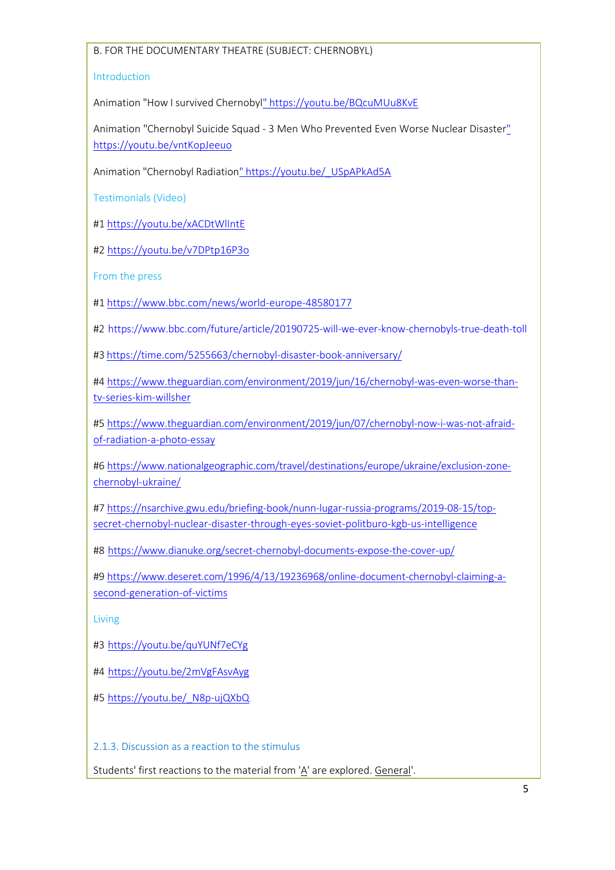## Β. FOR THE DOCUMENTARY THEATRE (SUBJECT: CHERNOBYL)

#### Introduction

Animation "How I survived Chernobyl" <https://youtu.be/BQcuMUu8KvE>

Animation "Chernobyl Suicide Squad - 3 Men Who Prevented Even Worse Nuclear Disaste[r"](https://youtu.be/vntKopJeeuo) <https://youtu.be/vntKopJeeuo>

Animation "Chernobyl Radiation" [https://youtu.be/\\_USpAPkAd5A](https://youtu.be/_USpAPkAd5A)

Testimonials (Video)

#1 <https://youtu.be/xACDtWlIntE>

#2<https://youtu.be/v7DPtp16P3o>

From the press

#1 <https://www.bbc.com/news/world-europe-48580177>

#2 <https://www.bbc.com/future/article/20190725-will-we-ever-know-chernobyls-true-death-toll>

#3 <https://time.com/5255663/chernobyl-disaster-book-anniversary/>

#4 [https://www.theguardian.com/environment/2019/jun/16/chernobyl-was-even-worse-than](https://www.theguardian.com/environment/2019/jun/16/chernobyl-was-even-worse-than-tv-series-kim-willsher)tv-series-kim-willsher

#5 [https://www.theguardian.com/environment/2019/jun/07/chernobyl-now-i-was-not-afraid](https://www.theguardian.com/environment/2019/jun/07/chernobyl-now-i-was-not-afraid-of-radiation-a-photo-essay)of-radiation-a-photo-essay

#6 [https://www.nationalgeographic.com/travel/destinations/europe/ukraine/exclusion-zone](https://www.nationalgeographic.com/travel/destinations/europe/ukraine/exclusion-zone-chernobyl-ukraine/)chernobyl-ukraine/

#7 [https://nsarchive.gwu.edu/briefing-book/nunn-lugar-russia-programs/2019-08-15/top](https://nsarchive.gwu.edu/briefing-book/nunn-lugar-russia-programs/2019-08-15/top-secret-chernobyl-nuclear-disaster-through-eyes-soviet-politburo-kgb-us-intelligence)secret-chernobyl-nuclear-disaster-through-eyes-soviet-politburo-kgb-us-intelligence

#8 <https://www.dianuke.org/secret-chernobyl-documents-expose-the-cover-up/>

#9 [https://www.deseret.com/1996/4/13/19236968/online-document-chernobyl-claiming-a](https://www.deseret.com/1996/4/13/19236968/online-document-chernobyl-claiming-a-second-generation-of-victims)second-generation-of-victims

Living

#3 <https://youtu.be/quYUNf7eCYg>

#4 <https://youtu.be/2mVgFAsvAyg>

#5 [https://youtu.be/\\_N8p-ujQXbQ](https://youtu.be/_N8p-ujQXbQ)

2.1.3. Discussion as a reaction to the stimulus

Students' first reactions to the material from 'A' are explored. General'.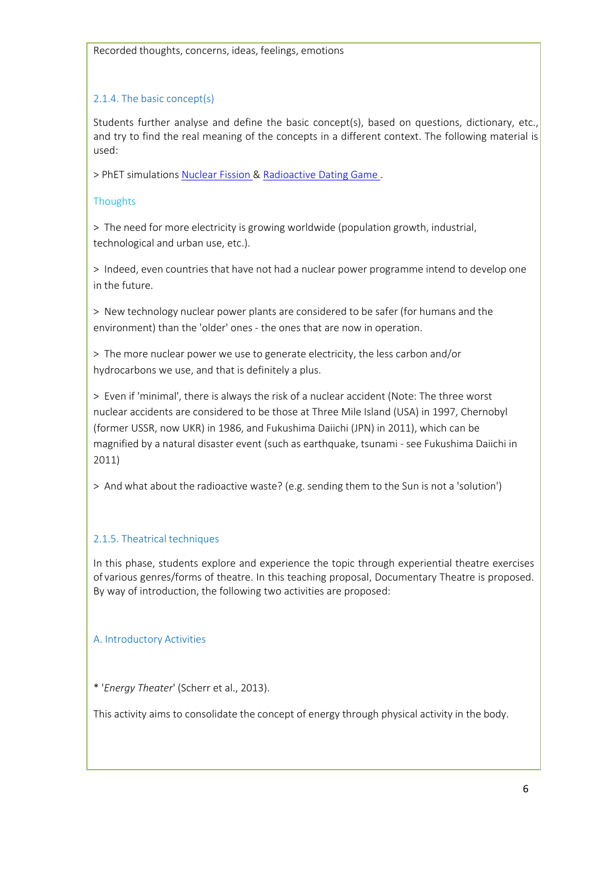## 2.1.4. The basic concept(s)

Students further analyse and define the basic concept(s), based on questions, dictionary, etc., and try to find the real meaning of the concepts in a different context. The following material is used:

> PhET simulations [Nuclear Fission &](https://phet.colorado.edu/en/simulation/legacy/nuclear-fission) [Radioactive Dating Game .](https://phet.colorado.edu/en/simulation/legacy/radioactive-dating-game)

## **Thoughts**

> The need for more electricity is growing worldwide (population growth, industrial, technological and urban use, etc.).

> Indeed, even countries that have not had a nuclear power programme intend to develop one in the future.

> New technology nuclear power plants are considered to be safer (for humans and the environment) than the 'older' ones - the ones that are now in operation.

> The more nuclear power we use to generate electricity, the less carbon and/or hydrocarbons we use, and that is definitely a plus.

> Even if 'minimal', there is always the risk of a nuclear accident (Note: The three worst nuclear accidents are considered to be those at Three Mile Island (USA) in 1997, Chernobyl (former USSR, now UKR) in 1986, and Fukushima Daiichi (JPN) in 2011), which can be magnified by a natural disaster event (such as earthquake, tsunami - see Fukushima Daiichi in 2011)

> And what about the radioactive waste? (e.g. sending them to the Sun is not a 'solution')

# 2.1.5. Theatrical techniques

In this phase, students explore and experience the topic through experiential theatre exercises of various genres/forms of theatre. In this teaching proposal, Documentary Theatre is proposed. By way of introduction, the following two activities are proposed:

# Α. Introductory Activities

\* '*Energy Theater*' (Scherr et al., 2013).

This activity aims to consolidate the concept of energy through physical activity in the body.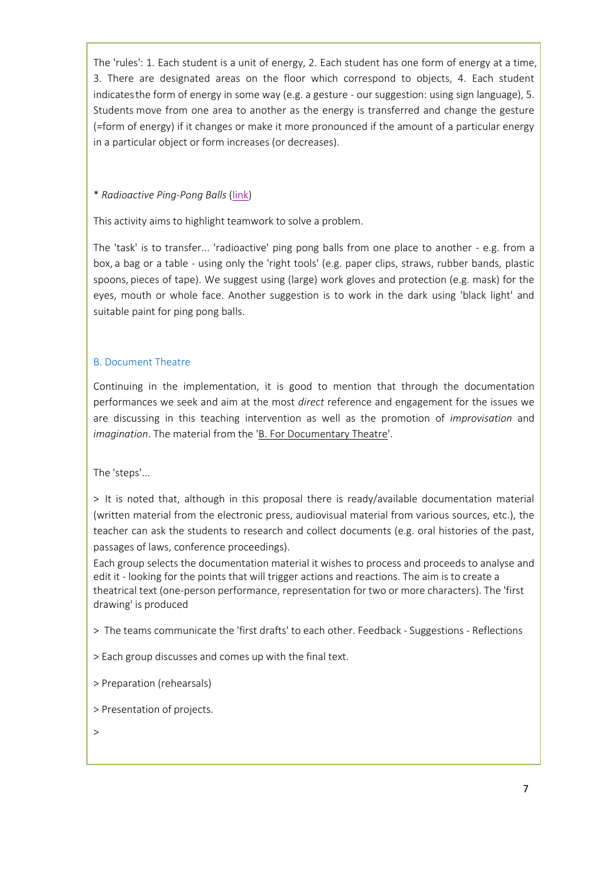The 'rules': 1. Each student is a unit of energy, 2. Each student has one form of energy at a time, 3. There are designated areas on the floor which correspond to objects, 4. Each student indicatesthe form of energy in some way (e.g. a gesture - our suggestion: using sign language), 5. Students move from one area to another as the energy is transferred and change the gesture (=form of energy) if it changes or make it more pronounced if the amount of a particular energy in a particular object or form increases (or decreases).

## \* *Radioactive Ping-Pong Balls* [\(link\)](http://nuclearconnect.org/in-the-classroom/for-teachers/radioactive-ping-pong-balls)

This activity aims to highlight teamwork to solve a problem.

The 'task' is to transfer... 'radioactive' ping pong balls from one place to another - e.g. from a box, a bag or a table - using only the 'right tools' (e.g. paper clips, straws, rubber bands, plastic spoons, pieces of tape). We suggest using (large) work gloves and protection (e.g. mask) for the eyes, mouth or whole face. Another suggestion is to work in the dark using 'black light' and suitable paint for ping pong balls.

## Β. Document Theatre

Continuing in the implementation, it is good to mention that through the documentation performances we seek and aim at the most *direct* reference and engagement for the issues we are discussing in this teaching intervention as well as the promotion of *improvisation* and *imagination*. The material from the 'B. For Documentary Theatre'.

The 'steps'...

> It is noted that, although in this proposal there is ready/available documentation material (written material from the electronic press, audiovisual material from various sources, etc.), the teacher can ask the students to research and collect documents (e.g. oral histories of the past, passages of laws, conference proceedings).

Each group selects the documentation material it wishes to process and proceeds to analyse and edit it - looking for the points that will trigger actions and reactions. The aim is to create a theatrical text (one-person performance, representation for two or more characters). The 'first drawing' is produced

> The teams communicate the 'first drafts' to each other. Feedback - Suggestions - Reflections

> Each group discusses and comes up with the final text.

- > Preparation (rehearsals)
- > Presentation of projects.

>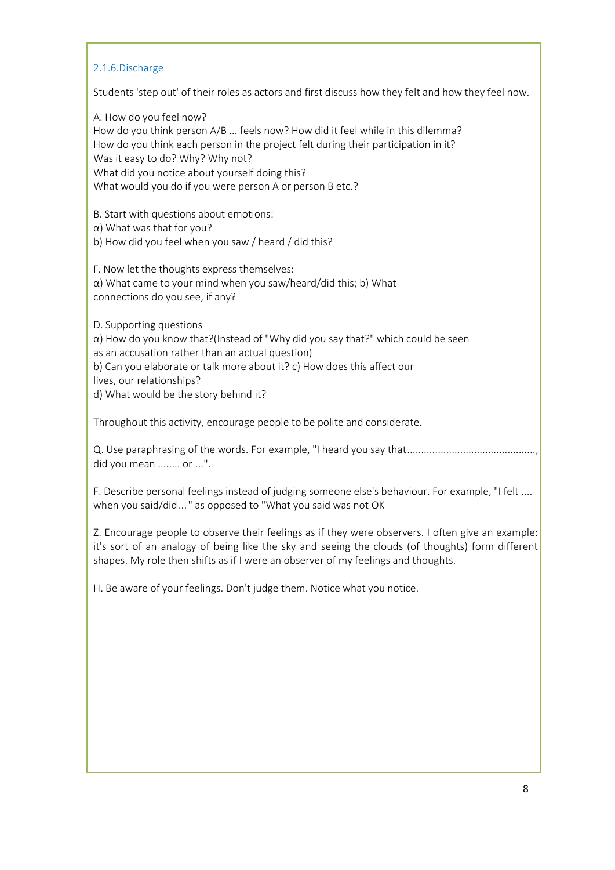## 2.1.6.Discharge

Students 'step out' of their roles as actors and first discuss how they felt and how they feel now.

Α. How do you feel now? How do you think person A/B ... feels now? How did it feel while in this dilemma? How do you think each person in the project felt during their participation in it? Was it easy to do? Why? Why not? What did you notice about yourself doing this? What would you do if you were person A or person B etc.?

Β. Start with questions about emotions:

α) What was that for you? b) How did you feel when you saw / heard / did this?

Γ. Now let the thoughts express themselves:

α) What came to your mind when you saw/heard/did this; b) What connections do you see, if any?

D. Supporting questions

 $\alpha$ ) How do you know that?(Instead of "Why did you say that?" which could be seen as an accusation rather than an actual question) b) Can you elaborate or talk more about it? c) How does this affect our lives, our relationships?

d) What would be the story behind it?

Throughout this activity, encourage people to be polite and considerate.

Q. Use paraphrasing of the words. For example, "I heard you say that........................ did you mean ........ or ...".

F. Describe personal feelings instead of judging someone else's behaviour. For example, "I felt .... when you said/did..." as opposed to "What you said was not OK

Ζ. Encourage people to observe their feelings as if they were observers. I often give an example: it's sort of an analogy of being like the sky and seeing the clouds (of thoughts) form different shapes. My role then shifts as if I were an observer of my feelings and thoughts.

H. Be aware of your feelings. Don't judge them. Notice what you notice.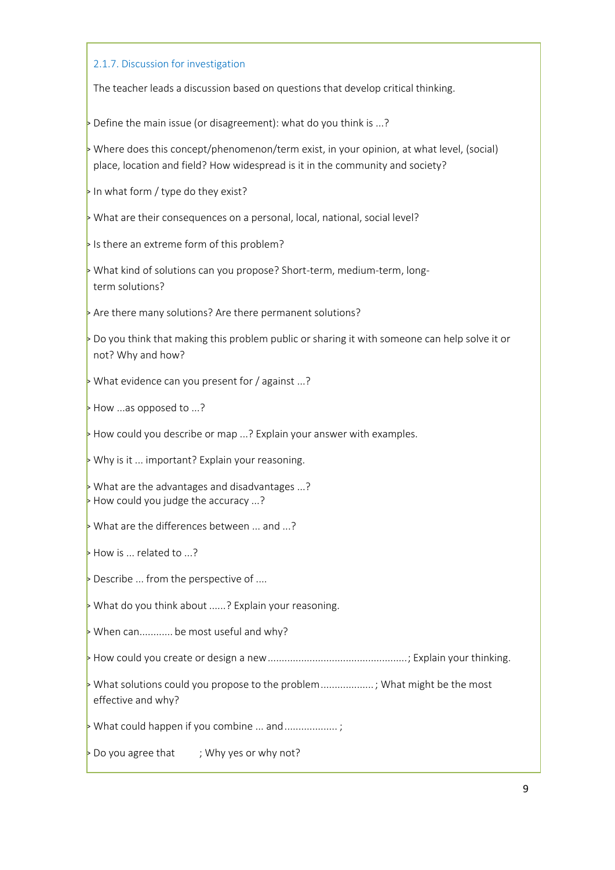#### 2.1.7. Discussion for investigation

The teacher leads a discussion based on questions that develop critical thinking.

> Define the main issue (or disagreement): what do you think is ...?

> Where does this concept/phenomenon/term exist, in your opinion, at what level, (social) place, location and field? How widespread is it in the community and society?

In what form / type do they exist?

 $\triangleright$  What are their consequences on a personal, local, national, social level?

If is there an extreme form of this problem?

> What kind of solutions can you propose? Short-term, medium-term, longterm solutions?

> Are there many solutions? Are there permanent solutions?

 $\overline{\phantom{a}}$  Do you think that making this problem public or sharing it with someone can help solve it or not? Why and how?

 $\triangleright$  What evidence can you present for / against ...?

> How ...as opposed to ...?

 $\triangleright$  How could you describe or map ...? Explain your answer with examples.

 $\triangleright$  Why is it ... important? Explain your reasoning.

> What are the advantages and disadvantages ...?  $\triangleright$  How could you judge the accuracy ...?

 $\triangleright$  What are the differences between ... and ...?

> How is ... related to ...?

 $\triangleright$  Describe ... from the perspective of ....

 $\triangleright$  What do you think about ......? Explain your reasoning.

 $\triangleright$  When can............ be most useful and why?

> How could you create or design a new..................................................; Explain your thinking.

> What solutions could you propose to the problem................... ; What might be the most effective and why?

 $\triangleright$  What could happen if you combine ... and ......................

 $\triangleright$  Do you agree that ; Why yes or why not?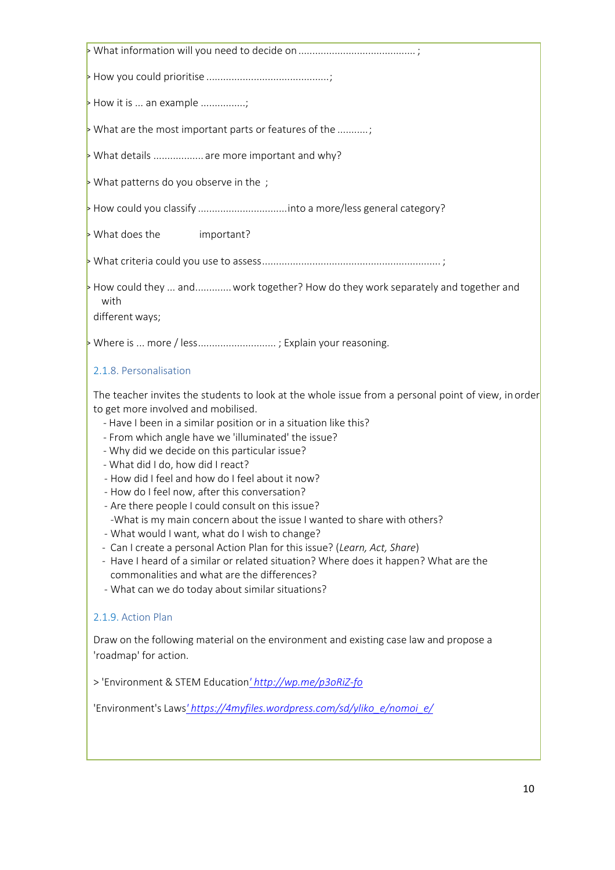| $\triangleright$ How it is  an example                                                                                                                                                                                                                                                                                                                                                                                                                                                                                                                                                                                                                                                                                                                                                                                                                                                                                     |
|----------------------------------------------------------------------------------------------------------------------------------------------------------------------------------------------------------------------------------------------------------------------------------------------------------------------------------------------------------------------------------------------------------------------------------------------------------------------------------------------------------------------------------------------------------------------------------------------------------------------------------------------------------------------------------------------------------------------------------------------------------------------------------------------------------------------------------------------------------------------------------------------------------------------------|
| > What are the most important parts or features of the ;                                                                                                                                                                                                                                                                                                                                                                                                                                                                                                                                                                                                                                                                                                                                                                                                                                                                   |
| > What details  are more important and why?                                                                                                                                                                                                                                                                                                                                                                                                                                                                                                                                                                                                                                                                                                                                                                                                                                                                                |
| $\triangleright$ What patterns do you observe in the ;                                                                                                                                                                                                                                                                                                                                                                                                                                                                                                                                                                                                                                                                                                                                                                                                                                                                     |
|                                                                                                                                                                                                                                                                                                                                                                                                                                                                                                                                                                                                                                                                                                                                                                                                                                                                                                                            |
| > What does the<br>important?                                                                                                                                                                                                                                                                                                                                                                                                                                                                                                                                                                                                                                                                                                                                                                                                                                                                                              |
|                                                                                                                                                                                                                                                                                                                                                                                                                                                                                                                                                                                                                                                                                                                                                                                                                                                                                                                            |
| How could they  and  work together? How do they work separately and together and<br>with<br>different ways;                                                                                                                                                                                                                                                                                                                                                                                                                                                                                                                                                                                                                                                                                                                                                                                                                |
| Where is  more / less; Explain your reasoning.                                                                                                                                                                                                                                                                                                                                                                                                                                                                                                                                                                                                                                                                                                                                                                                                                                                                             |
| 2.1.8. Personalisation                                                                                                                                                                                                                                                                                                                                                                                                                                                                                                                                                                                                                                                                                                                                                                                                                                                                                                     |
| The teacher invites the students to look at the whole issue from a personal point of view, in order<br>to get more involved and mobilised.<br>- Have I been in a similar position or in a situation like this?<br>- From which angle have we 'illuminated' the issue?<br>- Why did we decide on this particular issue?<br>- What did I do, how did I react?<br>- How did I feel and how do I feel about it now?<br>- How do I feel now, after this conversation?<br>- Are there people I could consult on this issue?<br>-What is my main concern about the issue I wanted to share with others?<br>- What would I want, what do I wish to change?<br>- Can I create a personal Action Plan for this issue? (Learn, Act, Share)<br>- Have I heard of a similar or related situation? Where does it happen? What are the<br>commonalities and what are the differences?<br>- What can we do today about similar situations? |
| 2.1.9. Action Plan                                                                                                                                                                                                                                                                                                                                                                                                                                                                                                                                                                                                                                                                                                                                                                                                                                                                                                         |
| Draw on the following material on the environment and existing case law and propose a<br>'roadmap' for action.                                                                                                                                                                                                                                                                                                                                                                                                                                                                                                                                                                                                                                                                                                                                                                                                             |
| > 'Environment & STEM Education' http://wp.me/p3oRiZ-fo                                                                                                                                                                                                                                                                                                                                                                                                                                                                                                                                                                                                                                                                                                                                                                                                                                                                    |
| 'Environment's Laws' https://4myfiles.wordpress.com/sd/yliko_e/nomoi_e/                                                                                                                                                                                                                                                                                                                                                                                                                                                                                                                                                                                                                                                                                                                                                                                                                                                    |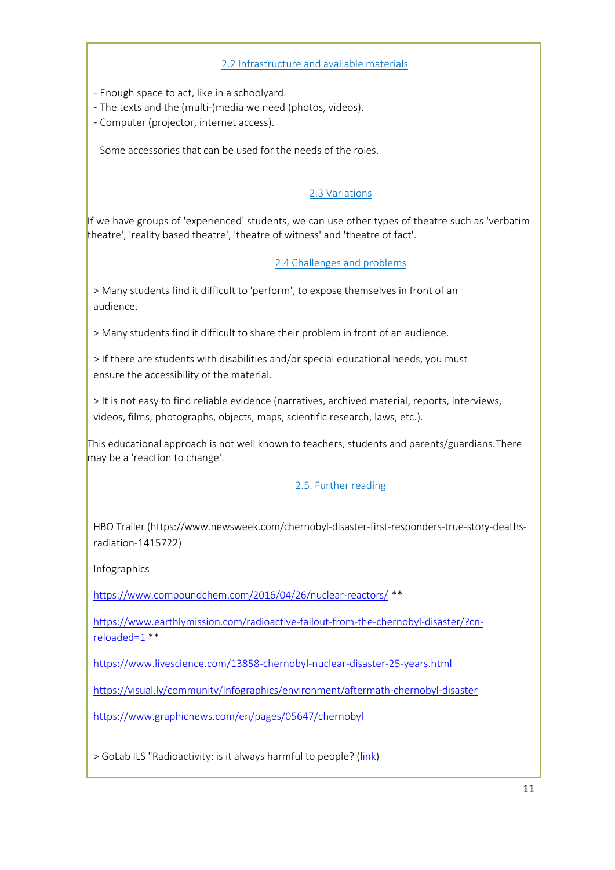## 2.2 Infrastructure and available materials

- Enough space to act, like in a schoolyard.
- The texts and the (multi-)media we need (photos, videos).
- Computer (projector, internet access).

Some accessories that can be used for the needs of the roles.

# 2.3 Variations

If we have groups of 'experienced' students, we can use other types of theatre such as 'verbatim theatre', 'reality based theatre', 'theatre of witness' and 'theatre of fact'.

# 2.4 Challenges and problems

> Many students find it difficult to 'perform', to expose themselves in front of an audience.

> Many students find it difficult to share their problem in front of an audience.

> If there are students with disabilities and/or special educational needs, you must ensure the accessibility of the material.

> It is not easy to find reliable evidence (narratives, archived material, reports, interviews, videos, films, photographs, objects, maps, scientific research, laws, etc.).

This educational approach is not well known to teachers, students and parents/guardians.There may be a 'reaction to change'.

# 2.5. Further reading

HBO Traile[r \(https://www.newsweek.com/chernobyl-disaster-first-responders-true-story-deaths](http://www.newsweek.com/chernobyl-disaster-first-responders-true-story-deaths-)radiation-1415722)

Infographics

<https://www.compoundchem.com/2016/04/26/nuclear-reactors/> \*\*

[https://www.earthlymission.com/radioactive-fallout-from-the-chernobyl-disaster/?cn](https://www.earthlymission.com/radioactive-fallout-from-the-chernobyl-disaster/?cn-reloaded=1)reloaded=1 \*\*

[https://www.livescience.com/13858-chernobyl-nuclear-disaster-25-years.html](https://visual.ly/community/Infographics/environment/aftermath-chernobyl-disaster)

<https://visual.ly/community/Infographics/environment/aftermath-chernobyl-disaster>

<https://www.graphicnews.com/en/pages/05647/chernobyl>

> GoLab ILS "Radioactivity: is it always harmful to people? [\(link\)](https://www.golabz.eu/ils/%cf%81%ce%b1%ce%b4%ce%b9%ce%b5%ce%bd%ce%ad%cf%81%ce%b3%ce%b5%ce%b9%ce%b1-%ce%b5%ce%af%ce%bd%ce%b1%ce%b9-%cf%80%ce%ac%ce%bd%cf%84%ce%b1-%ce%b2%ce%bb%ce%b1%ce%b2%ce%b5%cf%81%ce%ae-%ce%b3%ce%b9%ce%b1-%cf%84%ce%bf%cf%85%cf%82-%ce%b1%25c)